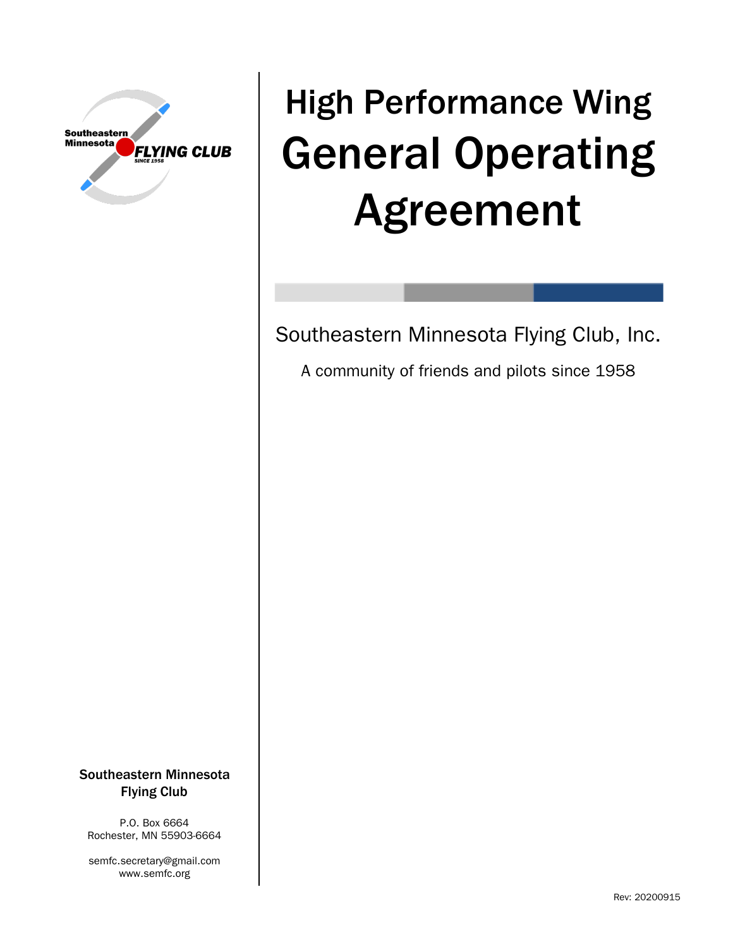

# High Performance Wing General Operating Agreement

Southeastern Minnesota Flying Club, Inc.

A community of friends and pilots since 1958

Southeastern Minnesota Flying Club

P.O. Box 6664 Rochester, MN 55903-6664

semfc.secretary@gmail.com www.semfc.org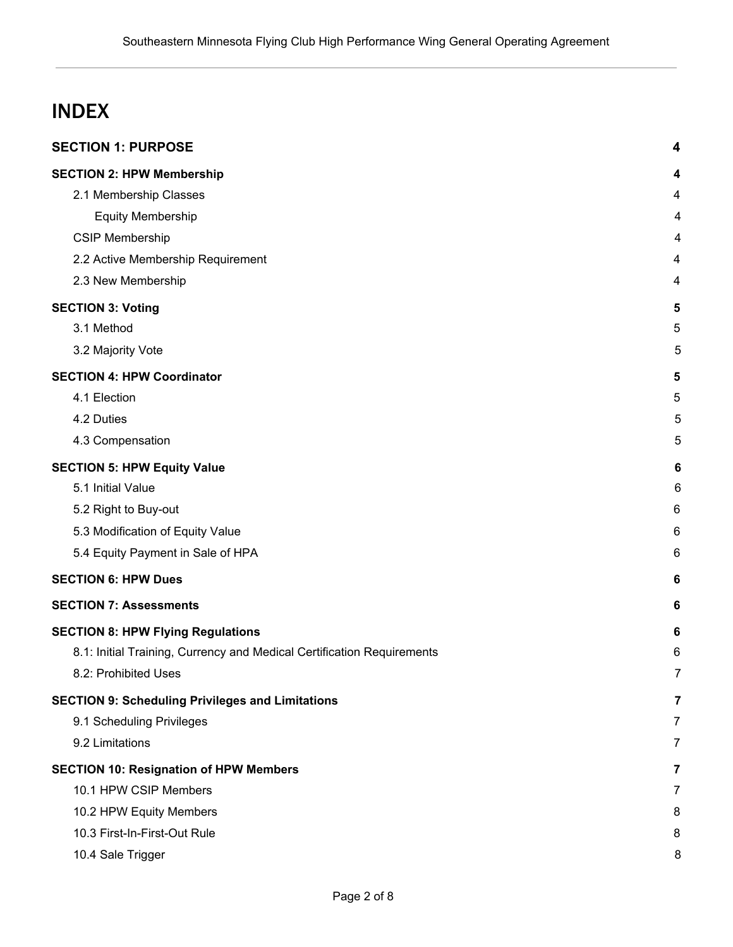# INDEX

|                                                         | <b>SECTION 1: PURPOSE</b>                                              | 4              |
|---------------------------------------------------------|------------------------------------------------------------------------|----------------|
|                                                         | <b>SECTION 2: HPW Membership</b>                                       | 4              |
|                                                         | 2.1 Membership Classes                                                 | 4              |
|                                                         | <b>Equity Membership</b>                                               | 4              |
|                                                         | <b>CSIP Membership</b>                                                 | 4              |
|                                                         | 2.2 Active Membership Requirement                                      | 4              |
|                                                         | 2.3 New Membership                                                     | 4              |
|                                                         | <b>SECTION 3: Voting</b>                                               | 5              |
|                                                         | 3.1 Method                                                             | 5              |
|                                                         | 3.2 Majority Vote                                                      | 5              |
|                                                         | <b>SECTION 4: HPW Coordinator</b>                                      | 5              |
|                                                         | 4.1 Election                                                           | 5              |
|                                                         | 4.2 Duties                                                             | 5              |
|                                                         | 4.3 Compensation                                                       | 5              |
| <b>SECTION 5: HPW Equity Value</b>                      |                                                                        | 6              |
|                                                         | 5.1 Initial Value                                                      | 6              |
|                                                         | 5.2 Right to Buy-out                                                   | 6              |
|                                                         | 5.3 Modification of Equity Value                                       | 6              |
|                                                         | 5.4 Equity Payment in Sale of HPA                                      | 6              |
|                                                         | <b>SECTION 6: HPW Dues</b>                                             | 6              |
| <b>SECTION 7: Assessments</b>                           |                                                                        | 6              |
|                                                         | <b>SECTION 8: HPW Flying Regulations</b>                               | 6              |
|                                                         | 8.1: Initial Training, Currency and Medical Certification Requirements | 6              |
|                                                         | 8.2: Prohibited Uses                                                   | 7              |
| <b>SECTION 9: Scheduling Privileges and Limitations</b> |                                                                        | 7              |
|                                                         | 9.1 Scheduling Privileges                                              | $\overline{7}$ |
|                                                         | 9.2 Limitations                                                        | 7              |
| <b>SECTION 10: Resignation of HPW Members</b>           |                                                                        | $\overline{7}$ |
|                                                         | 10.1 HPW CSIP Members                                                  | 7              |
|                                                         | 10.2 HPW Equity Members                                                | 8              |
|                                                         | 10.3 First-In-First-Out Rule                                           | 8              |
|                                                         | 10.4 Sale Trigger                                                      | 8              |
|                                                         |                                                                        |                |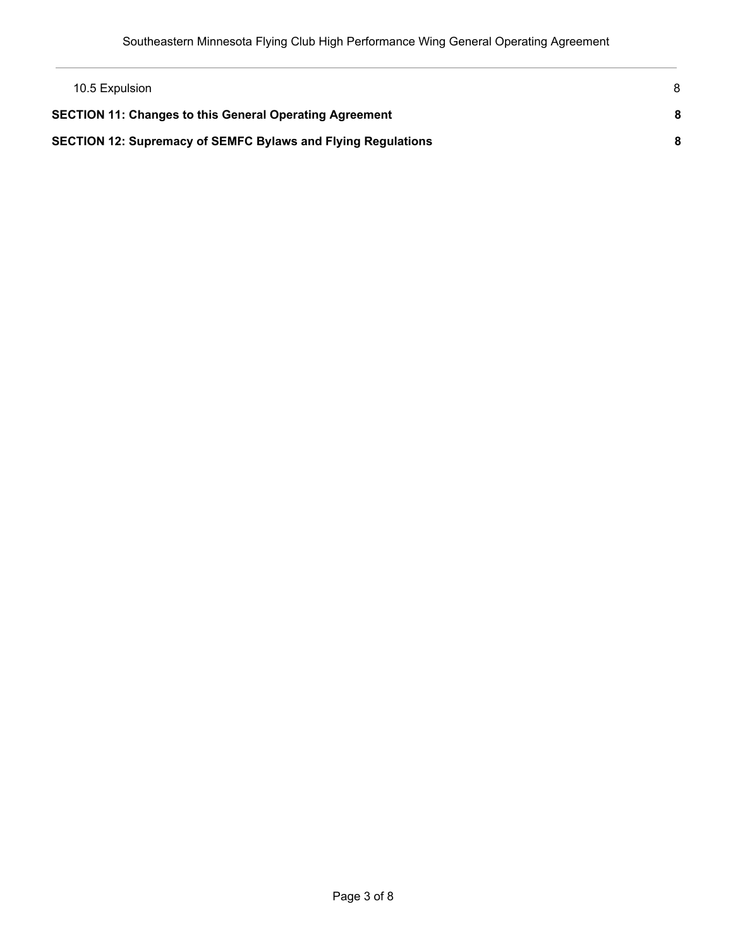| 10.5 Expulsion                                                      | 8 |
|---------------------------------------------------------------------|---|
| <b>SECTION 11: Changes to this General Operating Agreement</b>      | 8 |
| <b>SECTION 12: Supremacy of SEMFC Bylaws and Flying Regulations</b> |   |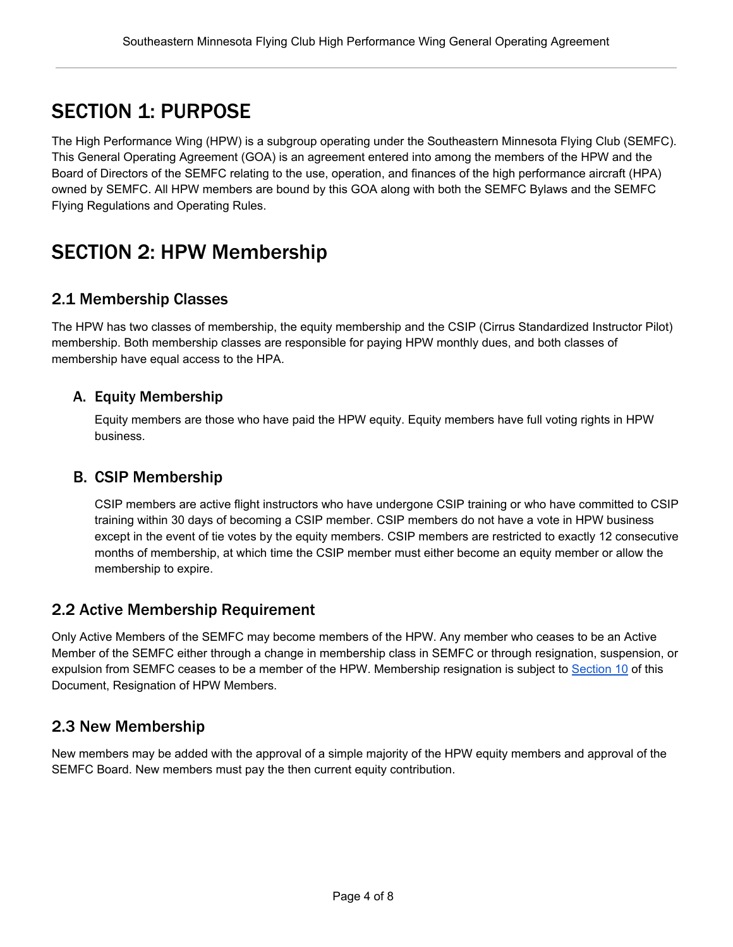# <span id="page-3-0"></span>SECTION 1: PURPOSE

The High Performance Wing (HPW) is a subgroup operating under the Southeastern Minnesota Flying Club (SEMFC). This General Operating Agreement (GOA) is an agreement entered into among the members of the HPW and the Board of Directors of the SEMFC relating to the use, operation, and finances of the high performance aircraft (HPA) owned by SEMFC. All HPW members are bound by this GOA along with both the SEMFC Bylaws and the SEMFC Flying Regulations and Operating Rules.

# <span id="page-3-1"></span>SECTION 2: HPW Membership

#### <span id="page-3-2"></span>2.1 Membership Classes

The HPW has two classes of membership, the equity membership and the CSIP (Cirrus Standardized Instructor Pilot) membership. Both membership classes are responsible for paying HPW monthly dues, and both classes of membership have equal access to the HPA.

#### <span id="page-3-3"></span>A. Equity Membership

Equity members are those who have paid the HPW equity. Equity members have full voting rights in HPW business.

#### <span id="page-3-4"></span>B. CSIP Membership

CSIP members are active flight instructors who have undergone CSIP training or who have committed to CSIP training within 30 days of becoming a CSIP member. CSIP members do not have a vote in HPW business except in the event of tie votes by the equity members. CSIP members are restricted to exactly 12 consecutive months of membership, at which time the CSIP member must either become an equity member or allow the membership to expire.

#### <span id="page-3-5"></span>2.2 Active Membership Requirement

Only Active Members of the SEMFC may become members of the HPW. Any member who ceases to be an Active Member of the SEMFC either through a change in membership class in SEMFC or through resignation, suspension, or expulsion from SEMFC ceases to be a member of the HPW. Membership resignation is subject to [Section](#page-6-4) 10 of this Document, Resignation of HPW Members.

#### <span id="page-3-6"></span>2.3 New Membership

New members may be added with the approval of a simple majority of the HPW equity members and approval of the SEMFC Board. New members must pay the then current equity contribution.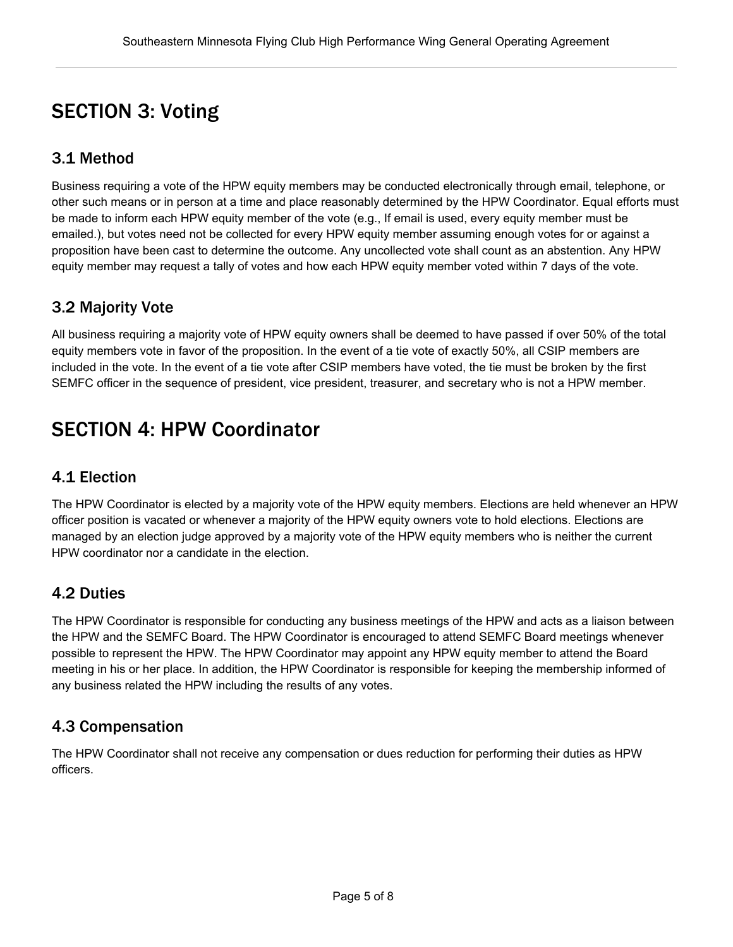# <span id="page-4-0"></span>SECTION 3: Voting

## <span id="page-4-1"></span>3.1 Method

Business requiring a vote of the HPW equity members may be conducted electronically through email, telephone, or other such means or in person at a time and place reasonably determined by the HPW Coordinator. Equal efforts must be made to inform each HPW equity member of the vote (e.g., If email is used, every equity member must be emailed.), but votes need not be collected for every HPW equity member assuming enough votes for or against a proposition have been cast to determine the outcome. Any uncollected vote shall count as an abstention. Any HPW equity member may request a tally of votes and how each HPW equity member voted within 7 days of the vote.

## <span id="page-4-2"></span>3.2 Majority Vote

All business requiring a majority vote of HPW equity owners shall be deemed to have passed if over 50% of the total equity members vote in favor of the proposition. In the event of a tie vote of exactly 50%, all CSIP members are included in the vote. In the event of a tie vote after CSIP members have voted, the tie must be broken by the first SEMFC officer in the sequence of president, vice president, treasurer, and secretary who is not a HPW member.

# <span id="page-4-3"></span>SECTION 4: HPW Coordinator

#### <span id="page-4-4"></span>4.1 Election

The HPW Coordinator is elected by a majority vote of the HPW equity members. Elections are held whenever an HPW officer position is vacated or whenever a majority of the HPW equity owners vote to hold elections. Elections are managed by an election judge approved by a majority vote of the HPW equity members who is neither the current HPW coordinator nor a candidate in the election.

#### <span id="page-4-5"></span>4.2 Duties

The HPW Coordinator is responsible for conducting any business meetings of the HPW and acts as a liaison between the HPW and the SEMFC Board. The HPW Coordinator is encouraged to attend SEMFC Board meetings whenever possible to represent the HPW. The HPW Coordinator may appoint any HPW equity member to attend the Board meeting in his or her place. In addition, the HPW Coordinator is responsible for keeping the membership informed of any business related the HPW including the results of any votes.

#### <span id="page-4-6"></span>4.3 Compensation

The HPW Coordinator shall not receive any compensation or dues reduction for performing their duties as HPW officers.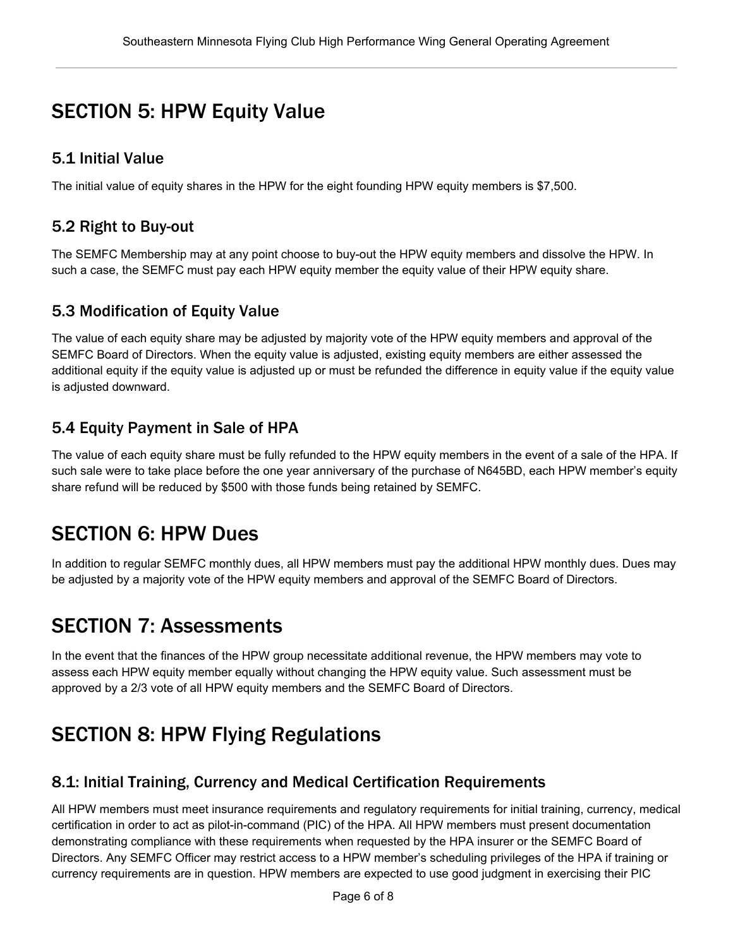# <span id="page-5-0"></span>SECTION 5: HPW Equity Value

#### <span id="page-5-1"></span>5.1 Initial Value

The initial value of equity shares in the HPW for the eight founding HPW equity members is \$7,500.

#### <span id="page-5-2"></span>5.2 Right to Buy-out

The SEMFC Membership may at any point choose to buy-out the HPW equity members and dissolve the HPW. In such a case, the SEMFC must pay each HPW equity member the equity value of their HPW equity share.

## <span id="page-5-3"></span>5.3 Modification of Equity Value

The value of each equity share may be adjusted by majority vote of the HPW equity members and approval of the SEMFC Board of Directors. When the equity value is adjusted, existing equity members are either assessed the additional equity if the equity value is adjusted up or must be refunded the difference in equity value if the equity value is adjusted downward.

## <span id="page-5-4"></span>5.4 Equity Payment in Sale of HPA

The value of each equity share must be fully refunded to the HPW equity members in the event of a sale of the HPA. If such sale were to take place before the one year anniversary of the purchase of N645BD, each HPW member's equity share refund will be reduced by \$500 with those funds being retained by SEMFC.

## <span id="page-5-5"></span>SECTION 6: HPW Dues

In addition to regular SEMFC monthly dues, all HPW members must pay the additional HPW monthly dues. Dues may be adjusted by a majority vote of the HPW equity members and approval of the SEMFC Board of Directors.

# <span id="page-5-6"></span>SECTION 7: Assessments

In the event that the finances of the HPW group necessitate additional revenue, the HPW members may vote to assess each HPW equity member equally without changing the HPW equity value. Such assessment must be approved by a 2/3 vote of all HPW equity members and the SEMFC Board of Directors.

# <span id="page-5-7"></span>SECTION 8: HPW Flying Regulations

## <span id="page-5-8"></span>8.1: Initial Training, Currency and Medical Certification Requirements

All HPW members must meet insurance requirements and regulatory requirements for initial training, currency, medical certification in order to act as pilot-in-command (PIC) of the HPA. All HPW members must present documentation demonstrating compliance with these requirements when requested by the HPA insurer or the SEMFC Board of Directors. Any SEMFC Officer may restrict access to a HPW member's scheduling privileges of the HPA if training or currency requirements are in question. HPW members are expected to use good judgment in exercising their PIC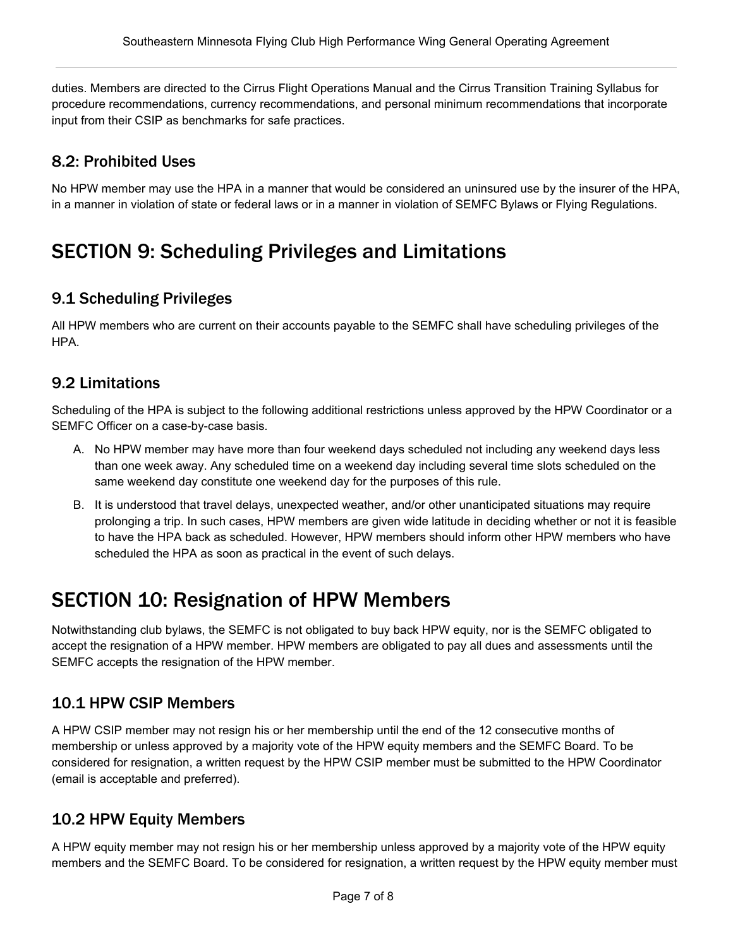duties. Members are directed to the Cirrus Flight Operations Manual and the Cirrus Transition Training Syllabus for procedure recommendations, currency recommendations, and personal minimum recommendations that incorporate input from their CSIP as benchmarks for safe practices.

## <span id="page-6-0"></span>8.2: Prohibited Uses

No HPW member may use the HPA in a manner that would be considered an uninsured use by the insurer of the HPA, in a manner in violation of state or federal laws or in a manner in violation of SEMFC Bylaws or Flying Regulations.

# <span id="page-6-1"></span>SECTION 9: Scheduling Privileges and Limitations

## <span id="page-6-2"></span>9.1 Scheduling Privileges

All HPW members who are current on their accounts payable to the SEMFC shall have scheduling privileges of the HPA.

## <span id="page-6-3"></span>9.2 Limitations

Scheduling of the HPA is subject to the following additional restrictions unless approved by the HPW Coordinator or a SEMFC Officer on a case-by-case basis.

- A. No HPW member may have more than four weekend days scheduled not including any weekend days less than one week away. Any scheduled time on a weekend day including several time slots scheduled on the same weekend day constitute one weekend day for the purposes of this rule.
- B. It is understood that travel delays, unexpected weather, and/or other unanticipated situations may require prolonging a trip. In such cases, HPW members are given wide latitude in deciding whether or not it is feasible to have the HPA back as scheduled. However, HPW members should inform other HPW members who have scheduled the HPA as soon as practical in the event of such delays.

# <span id="page-6-4"></span>SECTION 10: Resignation of HPW Members

Notwithstanding club bylaws, the SEMFC is not obligated to buy back HPW equity, nor is the SEMFC obligated to accept the resignation of a HPW member. HPW members are obligated to pay all dues and assessments until the SEMFC accepts the resignation of the HPW member.

## <span id="page-6-5"></span>10.1 HPW CSIP Members

A HPW CSIP member may not resign his or her membership until the end of the 12 consecutive months of membership or unless approved by a majority vote of the HPW equity members and the SEMFC Board. To be considered for resignation, a written request by the HPW CSIP member must be submitted to the HPW Coordinator (email is acceptable and preferred).

#### <span id="page-6-6"></span>10.2 HPW Equity Members

A HPW equity member may not resign his or her membership unless approved by a majority vote of the HPW equity members and the SEMFC Board. To be considered for resignation, a written request by the HPW equity member must